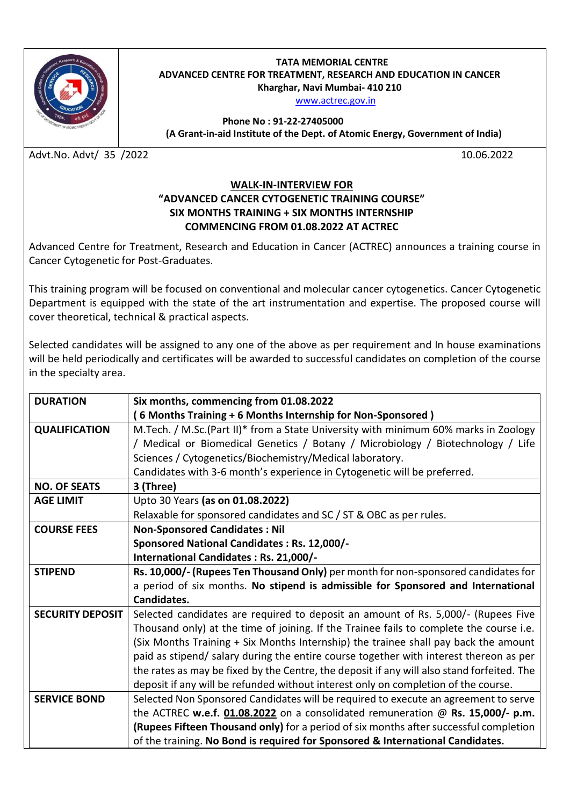

## **TATA MEMORIAL CENTRE ADVANCED CENTRE FOR TREATMENT, RESEARCH AND EDUCATION IN CANCER Kharghar, Navi Mumbai- 410 210**

[www.actrec.gov.in](http://www.actrec.gov.in/)

**Phone No : 91-22-27405000 ( (A Grant-in-aid Institute of the Dept. of Atomic Energy, Government of India)**

Advt.No. Advt/ 35 /2022 10.06.2022

## **WALK-IN-INTERVIEW FOR "ADVANCED CANCER CYTOGENETIC TRAINING COURSE" SIX MONTHS TRAINING + SIX MONTHS INTERNSHIP COMMENCING FROM 01.08.2022 AT ACTREC**

Advanced Centre for Treatment, Research and Education in Cancer (ACTREC) announces a training course in Cancer Cytogenetic for Post-Graduates.

This training program will be focused on conventional and molecular cancer cytogenetics. Cancer Cytogenetic Department is equipped with the state of the art instrumentation and expertise. The proposed course will cover theoretical, technical & practical aspects.

Selected candidates will be assigned to any one of the above as per requirement and In house examinations will be held periodically and certificates will be awarded to successful candidates on completion of the course in the specialty area.

| <b>DURATION</b>         | Six months, commencing from 01.08.2022                                                     |
|-------------------------|--------------------------------------------------------------------------------------------|
|                         | (6 Months Training + 6 Months Internship for Non-Sponsored)                                |
| <b>QUALIFICATION</b>    | M.Tech. / M.Sc.(Part II)* from a State University with minimum 60% marks in Zoology        |
|                         | / Medical or Biomedical Genetics / Botany / Microbiology / Biotechnology / Life            |
|                         | Sciences / Cytogenetics/Biochemistry/Medical laboratory.                                   |
|                         | Candidates with 3-6 month's experience in Cytogenetic will be preferred.                   |
| <b>NO. OF SEATS</b>     | 3 (Three)                                                                                  |
| <b>AGE LIMIT</b>        | Upto 30 Years (as on 01.08.2022)                                                           |
|                         | Relaxable for sponsored candidates and SC / ST & OBC as per rules.                         |
| <b>COURSE FEES</b>      | <b>Non-Sponsored Candidates: Nil</b>                                                       |
|                         | Sponsored National Candidates: Rs. 12,000/-                                                |
|                         | International Candidates: Rs. 21,000/-                                                     |
| <b>STIPEND</b>          | Rs. 10,000/- (Rupees Ten Thousand Only) per month for non-sponsored candidates for         |
|                         | a period of six months. No stipend is admissible for Sponsored and International           |
|                         | Candidates.                                                                                |
| <b>SECURITY DEPOSIT</b> | Selected candidates are required to deposit an amount of Rs. 5,000/- (Rupees Five          |
|                         | Thousand only) at the time of joining. If the Trainee fails to complete the course i.e.    |
|                         | (Six Months Training + Six Months Internship) the trainee shall pay back the amount        |
|                         | paid as stipend/ salary during the entire course together with interest thereon as per     |
|                         | the rates as may be fixed by the Centre, the deposit if any will also stand forfeited. The |
|                         | deposit if any will be refunded without interest only on completion of the course.         |
| <b>SERVICE BOND</b>     | Selected Non Sponsored Candidates will be required to execute an agreement to serve        |
|                         | the ACTREC w.e.f. 01.08.2022 on a consolidated remuneration @ Rs. 15,000/- p.m.            |
|                         | (Rupees Fifteen Thousand only) for a period of six months after successful completion      |
|                         | of the training. No Bond is required for Sponsored & International Candidates.             |